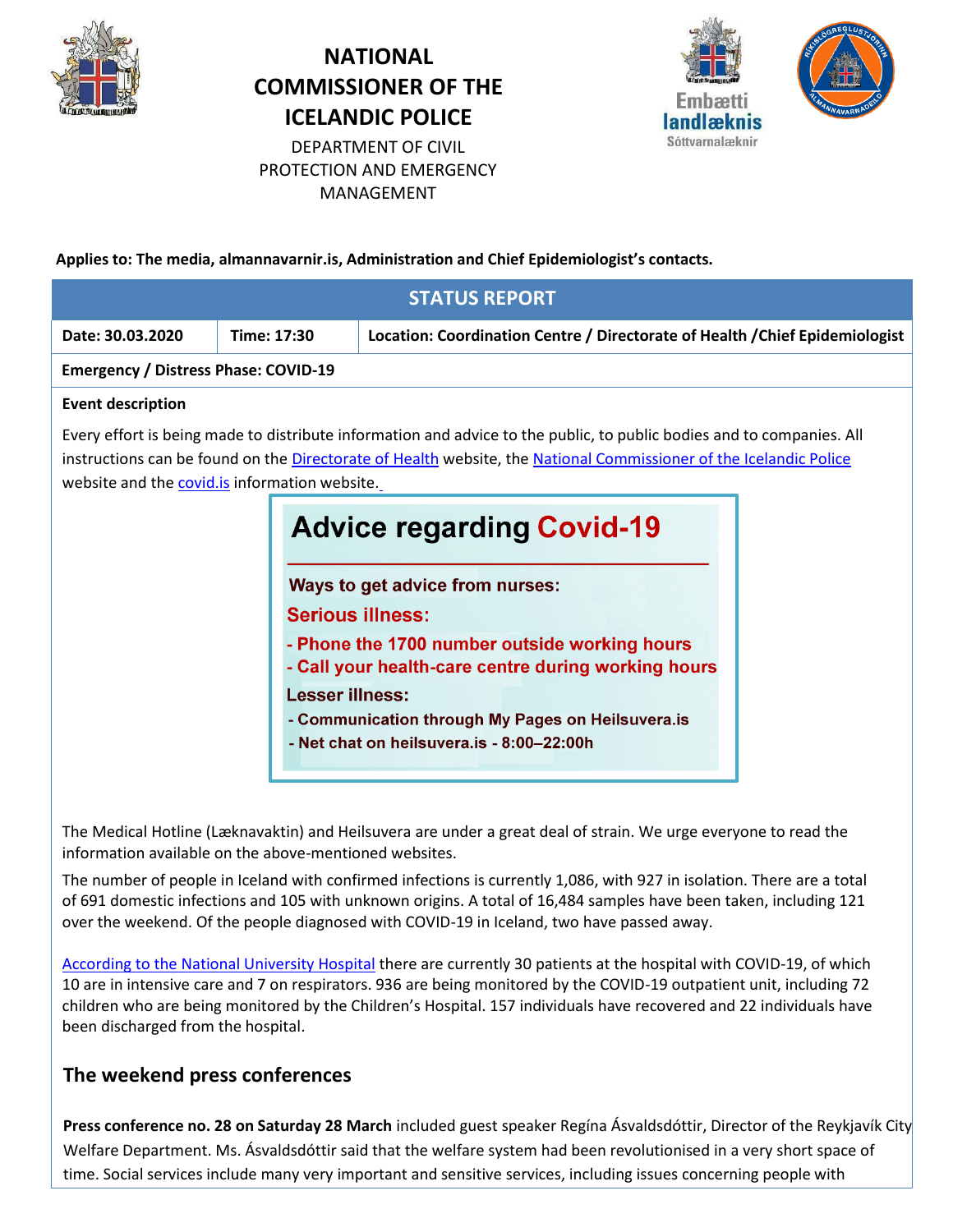

# **NATIONAL COMMISSIONER OF THE ICELANDIC POLICE**



DEPARTMENT OF CIVIL PROTECTION AND EMERGENCY MANAGEMENT

**Applies to: The media, almannavarnir.is, Administration and Chief Epidemiologist's contacts.**

|                                               |                        | <b>STATUS REPORT</b>                                                                                                                                                                                                                                                                                                                                                                                                                                                                                                                                   |  |  |
|-----------------------------------------------|------------------------|--------------------------------------------------------------------------------------------------------------------------------------------------------------------------------------------------------------------------------------------------------------------------------------------------------------------------------------------------------------------------------------------------------------------------------------------------------------------------------------------------------------------------------------------------------|--|--|
| Date: 30.03.2020                              | Time: 17:30            | Location: Coordination Centre / Directorate of Health / Chief Epidemiologist                                                                                                                                                                                                                                                                                                                                                                                                                                                                           |  |  |
| <b>Emergency / Distress Phase: COVID-19</b>   |                        |                                                                                                                                                                                                                                                                                                                                                                                                                                                                                                                                                        |  |  |
| <b>Event description</b>                      |                        |                                                                                                                                                                                                                                                                                                                                                                                                                                                                                                                                                        |  |  |
| website and the covid.is information website. | <b>Lesser illness:</b> | Every effort is being made to distribute information and advice to the public, to public bodies and to companies. All<br>instructions can be found on the Directorate of Health website, the National Commissioner of the Icelandic Police<br><b>Advice regarding Covid-19</b><br>Ways to get advice from nurses:<br><b>Serious illness:</b><br>- Phone the 1700 number outside working hours<br>- Call your health-care centre during working hours<br>- Communication through My Pages on Heilsuvera.is<br>- Net chat on heilsuvera.is - 8:00-22:00h |  |  |

The Medical Hotline (Læknavaktin) and Heilsuvera are under a great deal of strain. We urge everyone to read the information available on the above-mentioned websites.

The number of people in Iceland with confirmed infections is currently 1,086, with 927 in isolation. There are a total of 691 domestic infections and 105 with unknown origins. A total of 16,484 samples have been taken, including 121 over the weekend. Of the people diagnosed with COVID-19 in Iceland, two have passed away.

[According to the National University Hospital](https://www.landspitali.is/default.aspx?pageid=b629a8e0-b262-49e0-b842-0f776cb4241e) there are currently 30 patients at the hospital with COVID-19, of which 10 are in intensive care and 7 on respirators. 936 are being monitored by the COVID-19 outpatient unit, including 72 children who are being monitored by the Children's Hospital. 157 individuals have recovered and 22 individuals have been discharged from the hospital.

## **The weekend press conferences**

**Press conference no. 28 on Saturday 28 March** included guest speaker Regína Ásvaldsdóttir, Director of the Reykjavík City Welfare Department. Ms. Ásvaldsdóttir said that the welfare system had been revolutionised in a very short space of time. Social services include many very important and sensitive services, including issues concerning people with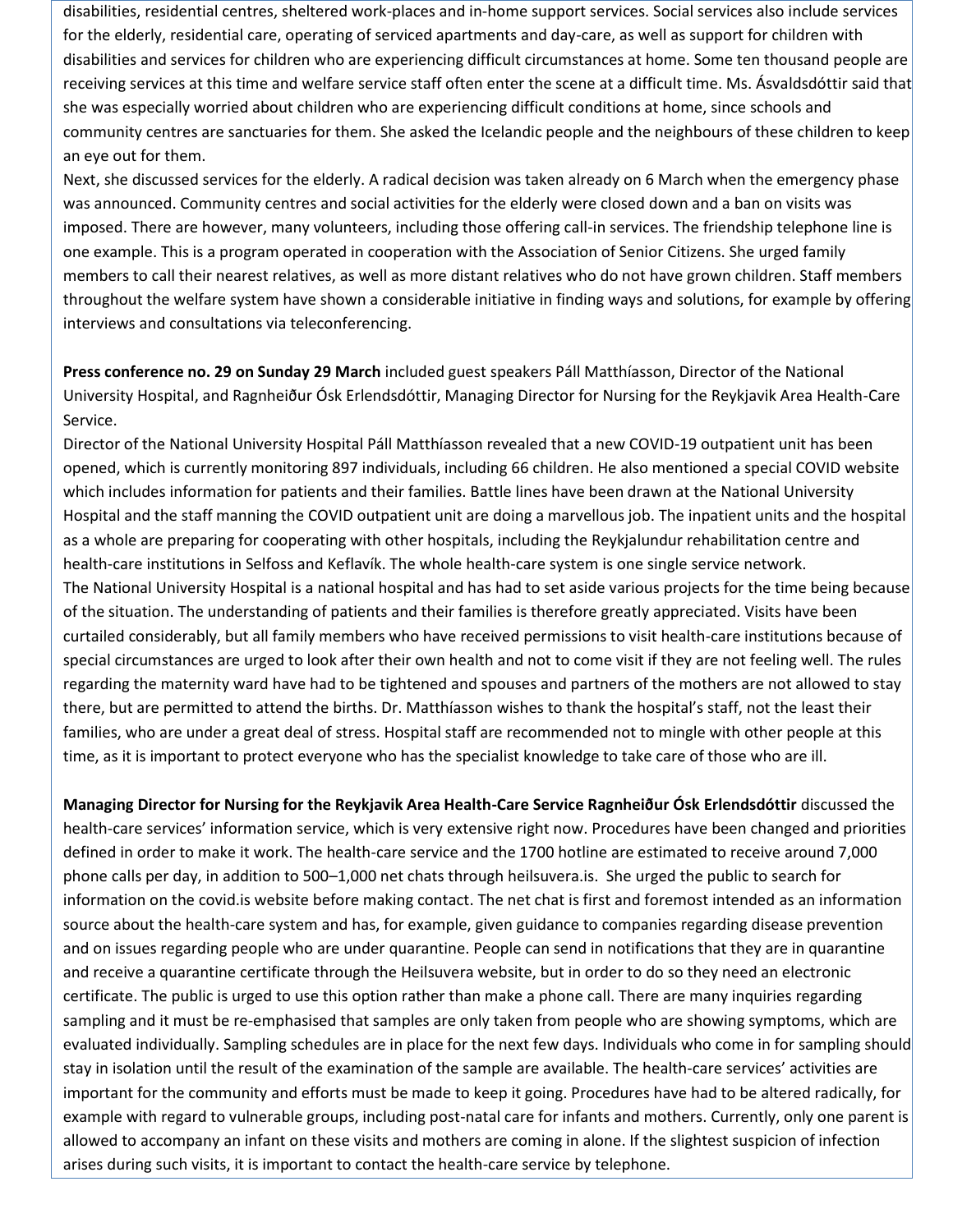disabilities, residential centres, sheltered work-places and in-home support services. Social services also include services for the elderly, residential care, operating of serviced apartments and day-care, as well as support for children with disabilities and services for children who are experiencing difficult circumstances at home. Some ten thousand people are receiving services at this time and welfare service staff often enter the scene at a difficult time. Ms. Ásvaldsdóttir said that she was especially worried about children who are experiencing difficult conditions at home, since schools and community centres are sanctuaries for them. She asked the Icelandic people and the neighbours of these children to keep an eye out for them.

Next, she discussed services for the elderly. A radical decision was taken already on 6 March when the emergency phase was announced. Community centres and social activities for the elderly were closed down and a ban on visits was imposed. There are however, many volunteers, including those offering call-in services. The friendship telephone line is one example. This is a program operated in cooperation with the Association of Senior Citizens. She urged family members to call their nearest relatives, as well as more distant relatives who do not have grown children. Staff members throughout the welfare system have shown a considerable initiative in finding ways and solutions, for example by offering interviews and consultations via teleconferencing.

**Press conference no. 29 on Sunday 29 March** included guest speakers Páll Matthíasson, Director of the National University Hospital, and Ragnheiður Ósk Erlendsdóttir, Managing Director for Nursing for the Reykjavik Area Health-Care Service.

Director of the National University Hospital Páll Matthíasson revealed that a new COVID-19 outpatient unit has been opened, which is currently monitoring 897 individuals, including 66 children. He also mentioned a special COVID website which includes information for patients and their families. Battle lines have been drawn at the National University Hospital and the staff manning the COVID outpatient unit are doing a marvellous job. The inpatient units and the hospital as a whole are preparing for cooperating with other hospitals, including the Reykjalundur rehabilitation centre and health-care institutions in Selfoss and Keflavík. The whole health-care system is one single service network. The National University Hospital is a national hospital and has had to set aside various projects for the time being because of the situation. The understanding of patients and their families is therefore greatly appreciated. Visits have been curtailed considerably, but all family members who have received permissions to visit health-care institutions because of special circumstances are urged to look after their own health and not to come visit if they are not feeling well. The rules regarding the maternity ward have had to be tightened and spouses and partners of the mothers are not allowed to stay there, but are permitted to attend the births. Dr. Matthíasson wishes to thank the hospital's staff, not the least their families, who are under a great deal of stress. Hospital staff are recommended not to mingle with other people at this time, as it is important to protect everyone who has the specialist knowledge to take care of those who are ill.

**Managing Director for Nursing for the Reykjavik Area Health-Care Service Ragnheiður Ósk Erlendsdóttir** discussed the health-care services' information service, which is very extensive right now. Procedures have been changed and priorities defined in order to make it work. The health-care service and the 1700 hotline are estimated to receive around 7,000 phone calls per day, in addition to 500–1,000 net chats through heilsuvera.is. She urged the public to search for information on the covid.is website before making contact. The net chat is first and foremost intended as an information source about the health-care system and has, for example, given guidance to companies regarding disease prevention and on issues regarding people who are under quarantine. People can send in notifications that they are in quarantine and receive a quarantine certificate through the Heilsuvera website, but in order to do so they need an electronic certificate. The public is urged to use this option rather than make a phone call. There are many inquiries regarding sampling and it must be re-emphasised that samples are only taken from people who are showing symptoms, which are evaluated individually. Sampling schedules are in place for the next few days. Individuals who come in for sampling should stay in isolation until the result of the examination of the sample are available. The health-care services' activities are important for the community and efforts must be made to keep it going. Procedures have had to be altered radically, for example with regard to vulnerable groups, including post-natal care for infants and mothers. Currently, only one parent is allowed to accompany an infant on these visits and mothers are coming in alone. If the slightest suspicion of infection arises during such visits, it is important to contact the health-care service by telephone.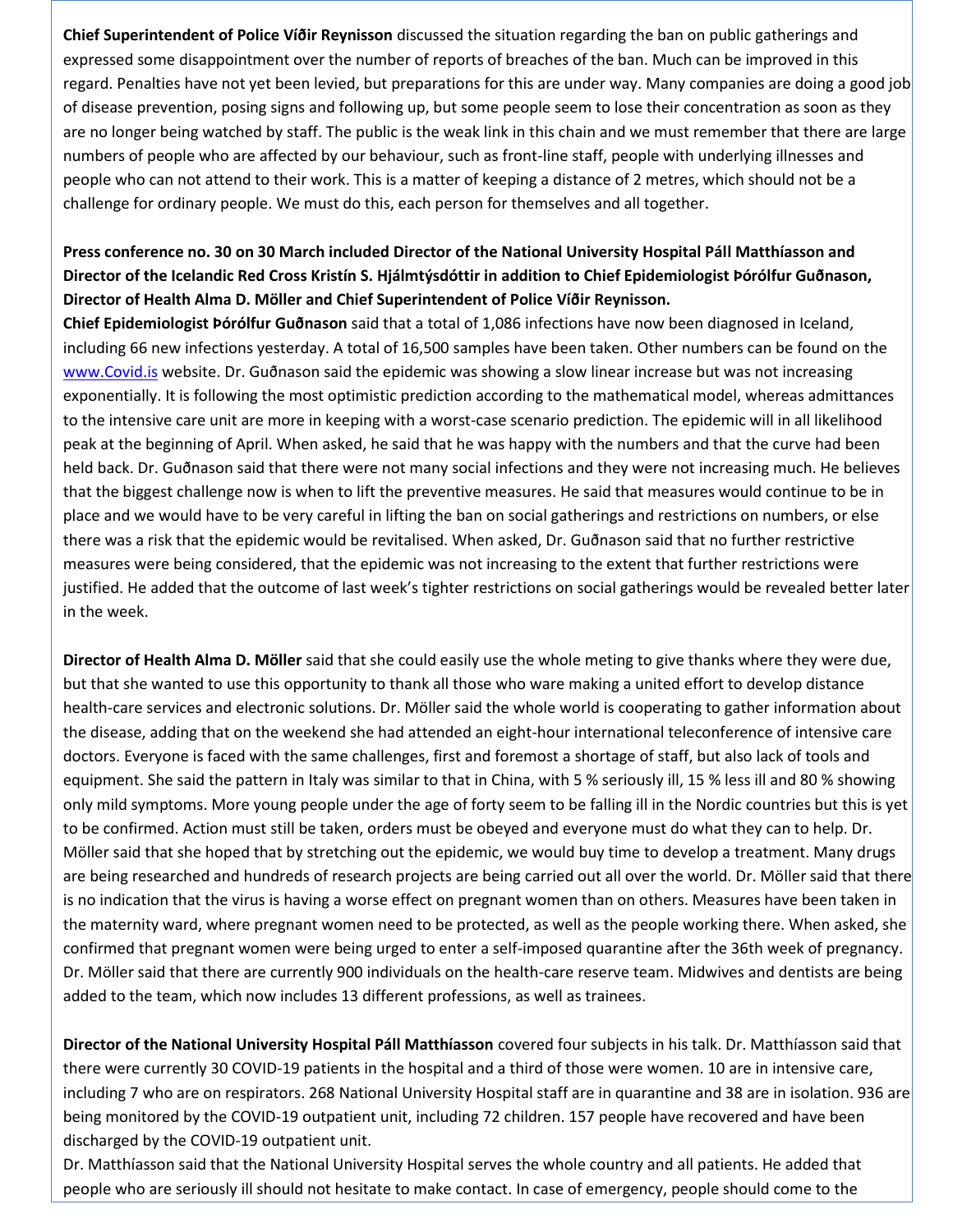**Chief Superintendent of Police Víðir Reynisson** discussed the situation regarding the ban on public gatherings and expressed some disappointment over the number of reports of breaches of the ban. Much can be improved in this regard. Penalties have not yet been levied, but preparations for this are under way. Many companies are doing a good job of disease prevention, posing signs and following up, but some people seem to lose their concentration as soon as they are no longer being watched by staff. The public is the weak link in this chain and we must remember that there are large numbers of people who are affected by our behaviour, such as front-line staff, people with underlying illnesses and people who can not attend to their work. This is a matter of keeping a distance of 2 metres, which should not be a challenge for ordinary people. We must do this, each person for themselves and all together.

### **Press conference no. 30 on 30 March included Director of the National University Hospital Páll Matthíasson and Director of the Icelandic Red Cross Kristín S. Hjálmtýsdóttir in addition to Chief Epidemiologist Þórólfur Guðnason, Director of Health Alma D. Möller and Chief Superintendent of Police Víðir Reynisson.**

**Chief Epidemiologist Þórólfur Guðnason** said that a total of 1,086 infections have now been diagnosed in Iceland, including 66 new infections yesterday. A total of 16,500 samples have been taken. Other numbers can be found on the [www.Covid.is](http://www.covid.is/) website. Dr. Guðnason said the epidemic was showing a slow linear increase but was not increasing exponentially. It is following the most optimistic prediction according to the mathematical model, whereas admittances to the intensive care unit are more in keeping with a worst-case scenario prediction. The epidemic will in all likelihood peak at the beginning of April. When asked, he said that he was happy with the numbers and that the curve had been held back. Dr. Guðnason said that there were not many social infections and they were not increasing much. He believes that the biggest challenge now is when to lift the preventive measures. He said that measures would continue to be in place and we would have to be very careful in lifting the ban on social gatherings and restrictions on numbers, or else there was a risk that the epidemic would be revitalised. When asked, Dr. Guðnason said that no further restrictive measures were being considered, that the epidemic was not increasing to the extent that further restrictions were justified. He added that the outcome of last week's tighter restrictions on social gatherings would be revealed better later in the week.

**Director of Health Alma D. Möller** said that she could easily use the whole meting to give thanks where they were due, but that she wanted to use this opportunity to thank all those who ware making a united effort to develop distance health-care services and electronic solutions. Dr. Möller said the whole world is cooperating to gather information about the disease, adding that on the weekend she had attended an eight-hour international teleconference of intensive care doctors. Everyone is faced with the same challenges, first and foremost a shortage of staff, but also lack of tools and equipment. She said the pattern in Italy was similar to that in China, with 5 % seriously ill, 15 % less ill and 80 % showing only mild symptoms. More young people under the age of forty seem to be falling ill in the Nordic countries but this is yet to be confirmed. Action must still be taken, orders must be obeyed and everyone must do what they can to help. Dr. Möller said that she hoped that by stretching out the epidemic, we would buy time to develop a treatment. Many drugs are being researched and hundreds of research projects are being carried out all over the world. Dr. Möller said that there is no indication that the virus is having a worse effect on pregnant women than on others. Measures have been taken in the maternity ward, where pregnant women need to be protected, as well as the people working there. When asked, she confirmed that pregnant women were being urged to enter a self-imposed quarantine after the 36th week of pregnancy. Dr. Möller said that there are currently 900 individuals on the health-care reserve team. Midwives and dentists are being added to the team, which now includes 13 different professions, as well as trainees.

**Director of the National University Hospital Páll Matthíasson** covered four subjects in his talk. Dr. Matthíasson said that there were currently 30 COVID-19 patients in the hospital and a third of those were women. 10 are in intensive care, including 7 who are on respirators. 268 National University Hospital staff are in quarantine and 38 are in isolation. 936 are being monitored by the COVID-19 outpatient unit, including 72 children. 157 people have recovered and have been discharged by the COVID-19 outpatient unit.

Dr. Matthíasson said that the National University Hospital serves the whole country and all patients. He added that people who are seriously ill should not hesitate to make contact. In case of emergency, people should come to the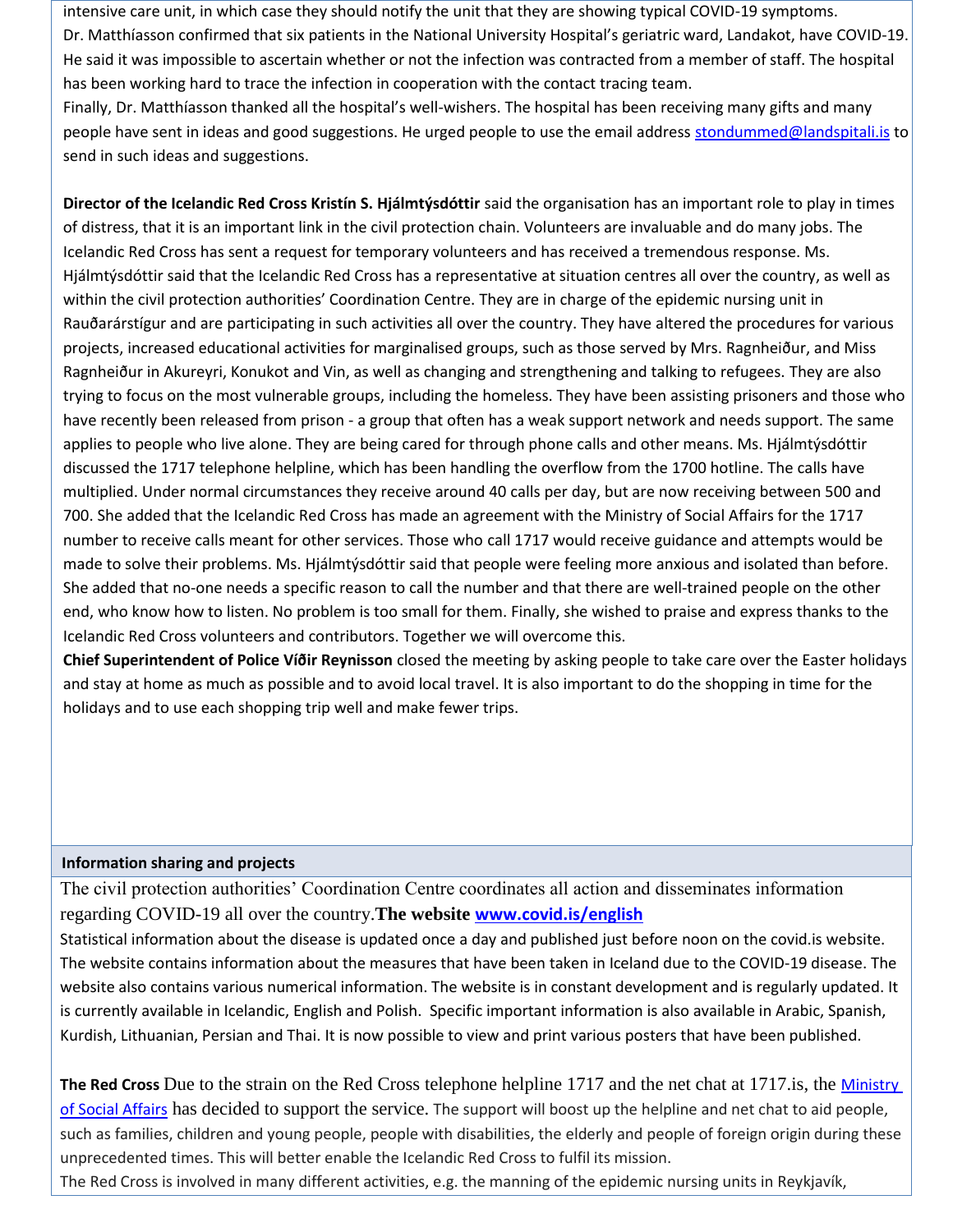intensive care unit, in which case they should notify the unit that they are showing typical COVID-19 symptoms. Dr. Matthíasson confirmed that six patients in the National University Hospital's geriatric ward, Landakot, have COVID-19. He said it was impossible to ascertain whether or not the infection was contracted from a member of staff. The hospital has been working hard to trace the infection in cooperation with the contact tracing team.

Finally, Dr. Matthíasson thanked all the hospital's well-wishers. The hospital has been receiving many gifts and many people have sent in ideas and good suggestions. He urged people to use the email address [stondummed@landspitali.is](mailto:stondummed@landspitali.is) to send in such ideas and suggestions.

**Director of the Icelandic Red Cross Kristín S. Hjálmtýsdóttir** said the organisation has an important role to play in times of distress, that it is an important link in the civil protection chain. Volunteers are invaluable and do many jobs. The Icelandic Red Cross has sent a request for temporary volunteers and has received a tremendous response. Ms. Hjálmtýsdóttir said that the Icelandic Red Cross has a representative at situation centres all over the country, as well as within the civil protection authorities' Coordination Centre. They are in charge of the epidemic nursing unit in Rauðarárstígur and are participating in such activities all over the country. They have altered the procedures for various projects, increased educational activities for marginalised groups, such as those served by Mrs. Ragnheiður, and Miss Ragnheiður in Akureyri, Konukot and Vin, as well as changing and strengthening and talking to refugees. They are also trying to focus on the most vulnerable groups, including the homeless. They have been assisting prisoners and those who have recently been released from prison - a group that often has a weak support network and needs support. The same applies to people who live alone. They are being cared for through phone calls and other means. Ms. Hjálmtýsdóttir discussed the 1717 telephone helpline, which has been handling the overflow from the 1700 hotline. The calls have multiplied. Under normal circumstances they receive around 40 calls per day, but are now receiving between 500 and 700. She added that the Icelandic Red Cross has made an agreement with the Ministry of Social Affairs for the 1717 number to receive calls meant for other services. Those who call 1717 would receive guidance and attempts would be made to solve their problems. Ms. Hjálmtýsdóttir said that people were feeling more anxious and isolated than before. She added that no-one needs a specific reason to call the number and that there are well-trained people on the other end, who know how to listen. No problem is too small for them. Finally, she wished to praise and express thanks to the Icelandic Red Cross volunteers and contributors. Together we will overcome this.

**Chief Superintendent of Police Víðir Reynisson** closed the meeting by asking people to take care over the Easter holidays and stay at home as much as possible and to avoid local travel. It is also important to do the shopping in time for the holidays and to use each shopping trip well and make fewer trips.

### **Information sharing and projects**

The civil protection authorities' Coordination Centre coordinates all action and disseminates information regarding COVID-19 all over the country.**The website [www.covid.is/](http://www.covid.is/)english** 

Statistical information about the disease is updated once a day and published just before noon on the covid.is website. The website contains information about the measures that have been taken in Iceland due to the COVID-19 disease. The website also contains various numerical information. The website is in constant development and is regularly updated. It is currently available in Icelandic, English and Polish. Specific important information is also available in Arabic, Spanish, Kurdish, Lithuanian, Persian and Thai. It is now possible to view and print various posters that have been published.

**The Red Cross** Due to the strain on the Red Cross telephone helpline 1717 and the net chat at 1717.is, the [Ministry](https://www.stjornarradid.is/efst-a-baugi/frettir/stok-frett/2020/03/27/Hjalparsimi-og-netspjall-Rauda-krossins-eflt-med-studningi-felagsmalaraduneytis-/)  [of Social Affairs](https://www.stjornarradid.is/efst-a-baugi/frettir/stok-frett/2020/03/27/Hjalparsimi-og-netspjall-Rauda-krossins-eflt-med-studningi-felagsmalaraduneytis-/) has decided to support the service. The support will boost up the helpline and net chat to aid people, such as families, children and young people, people with disabilities, the elderly and people of foreign origin during these unprecedented times. This will better enable the Icelandic Red Cross to fulfil its mission.

The Red Cross is involved in many different activities, e.g. the manning of the epidemic nursing units in Reykjavík,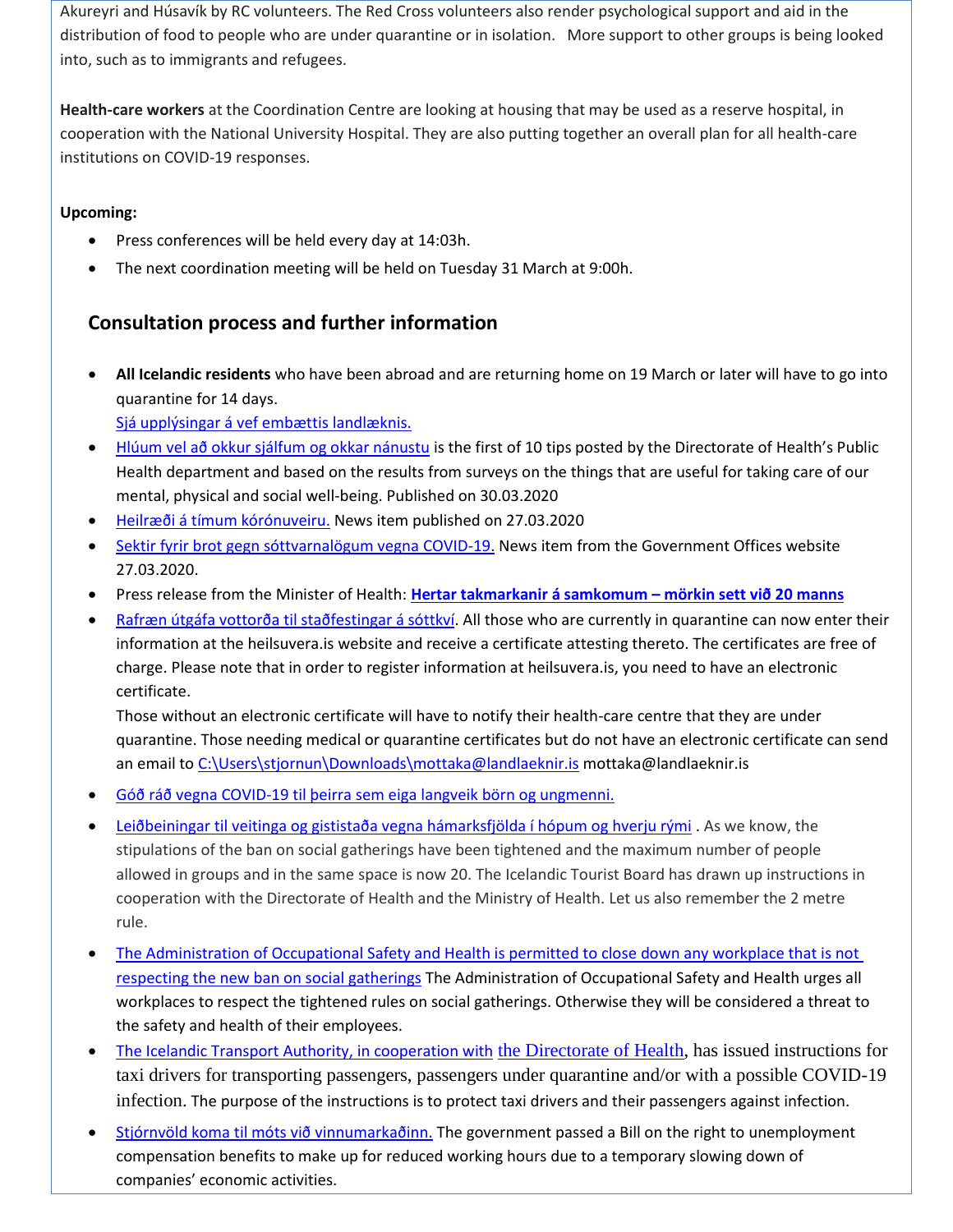Akureyri and Húsavík by RC volunteers. The Red Cross volunteers also render psychological support and aid in the distribution of food to people who are under quarantine or in isolation. More support to other groups is being looked into, such as to immigrants and refugees.

**Health-care workers** at the Coordination Centre are looking at housing that may be used as a reserve hospital, in cooperation with the National University Hospital. They are also putting together an overall plan for all health-care institutions on COVID-19 responses.

### **Upcoming:**

- Press conferences will be held every day at 14:03h.
- The next coordination meeting will be held on Tuesday 31 March at 9:00h.

# **Consultation process and further information**

 **All Icelandic residents** who have been abroad and are returning home on 19 March or later will have to go into quarantine for 14 days.

[Sjá upplýsingar á vef embættis landlæknis.](https://www.landlaeknir.is/um-embaettid/greinar/grein/item39194/Skilgreind-ahaettusvaedi---Defined-high-risk-areas)

- [Hlúum vel að okkur sjálfum og okkar nánustu](https://www.landlaeknir.is/um-embaettid/frettir/frett/item40638/Hluum-vel-ad-okkur-sjalfum-og-okkar-nanustu) is the first of 10 tips posted by the Directorate of Health's Public Health department and based on the results from surveys on the things that are useful for taking care of our mental, physical and social well-being. Published on 30.03.2020
- [Heilræði á tímum kórónuveiru.](https://www.landlaeknir.is/um-embaettid/frettir/frett/item40627/heilraedi-a-timum-koronuveiru) News item published on 27.03.2020
- [Sektir fyrir brot gegn sóttvarnalögum vegna](https://www.stjornarradid.is/efst-a-baugi/frettir/stok-frett/2020/03/27/Sektir-fyrir-brot-gegn-sottvarnalogum-vegna-COVID-19/) COVID-19. News item from the Government Offices website 27.03.2020.
- Press release from the Minister of Health: **[Hertar takmarkanir á samkomum](https://www.stjornarradid.is/efst-a-baugi/frettir/stok-frett/2020/03/22/Hertar-takmarkanir-a-samkomum-morkin-sett-vid-20-manns/) – mörkin sett við 20 manns**
- [Rafræn útgáfa vottorða til staðfestingar á sóttkví.](https://www.stjornarradid.is/efst-a-baugi/frettir/stok-frett/2020/03/23/Rafraen-utgafa-vottorda-til-stadfestingar-a-sottkvi/) All those who are currently in quarantine can now enter their information at the heilsuvera.is website and receive a certificate attesting thereto. The certificates are free of charge. Please note that in order to register information at heilsuvera.is, you need to have an electronic certificate.

Those without an electronic certificate will have to notify their health-care centre that they are under quarantine. Those needing medical or quarantine certificates but do not have an electronic certificate can send an email to [C:\Users\stjornun\Downloads\mottaka@landlaeknir.is](file:///C:/Users/stjornun/Downloads/mottaka@landlaeknir.is) mottaka@landlaeknir.is

- [Góð ráð vegna COVID-19 til þeirra sem eiga langveik börn og ungmenni.](https://www.landlaeknir.is/servlet/file/store93/item40409/Til%20foreldra%20langveikra%20barna%20og%20ungmenna.pdf)
- [Leiðbeiningar til veitinga og gististaða vegna hámarksfjölda í hópum og hverju rými](https://www.ferdamalastofa.is/is/um-ferdamalastofu/frettir/category/1/leidbeiningar-til-veitinga-og-gististada-vegna-hamarksfjolda-i-hop) . As we know, the stipulations of the ban on social gatherings have been tightened and the maximum number of people allowed in groups and in the same space is now 20. The Icelandic Tourist Board has drawn up instructions in cooperation with the Directorate of Health and the Ministry of Health. Let us also remember the 2 metre rule.
- [The Administration of Occupational Safety and Health is permitted to close down any workplace that is not](https://www.vinnueftirlit.is/um-vinnueftirlitid/frettir/vinnueftirlitinu-heimilt-ad-loka-vinnustodum-sem-ekki-virda-samkomubann)  [respecting the new ban on social gatherings](https://www.vinnueftirlit.is/um-vinnueftirlitid/frettir/vinnueftirlitinu-heimilt-ad-loka-vinnustodum-sem-ekki-virda-samkomubann) The Administration of Occupational Safety and Health urges all workplaces to respect the tightened rules on social gatherings. Otherwise they will be considered a threat to the safety and health of their employees.
- [The Icelandic Transport Authority, in cooperation with](https://www.landlaeknir.is/servlet/file/store93/item40385/Leidbeiningar-til-leigubilstjóra_loka.pdf) the Directorate of Health, has issued instructions for taxi drivers for transporting passengers, passengers under quarantine and/or with a possible COVID-19 infection. The purpose of the instructions is to protect taxi drivers and their passengers against infection.
- [Stjórnvöld koma til móts við vinnumarkaðinn.](https://www.stjornarradid.is/efst-a-baugi/frettir/stok-frett/2020/03/20/Rettur-til-greidslu-atvinnuleysisbota-vegna-minnkads-starfshlutfalls/) The government passed a Bill on the right to unemployment compensation benefits to make up for reduced working hours due to a temporary slowing down of companies' economic activities.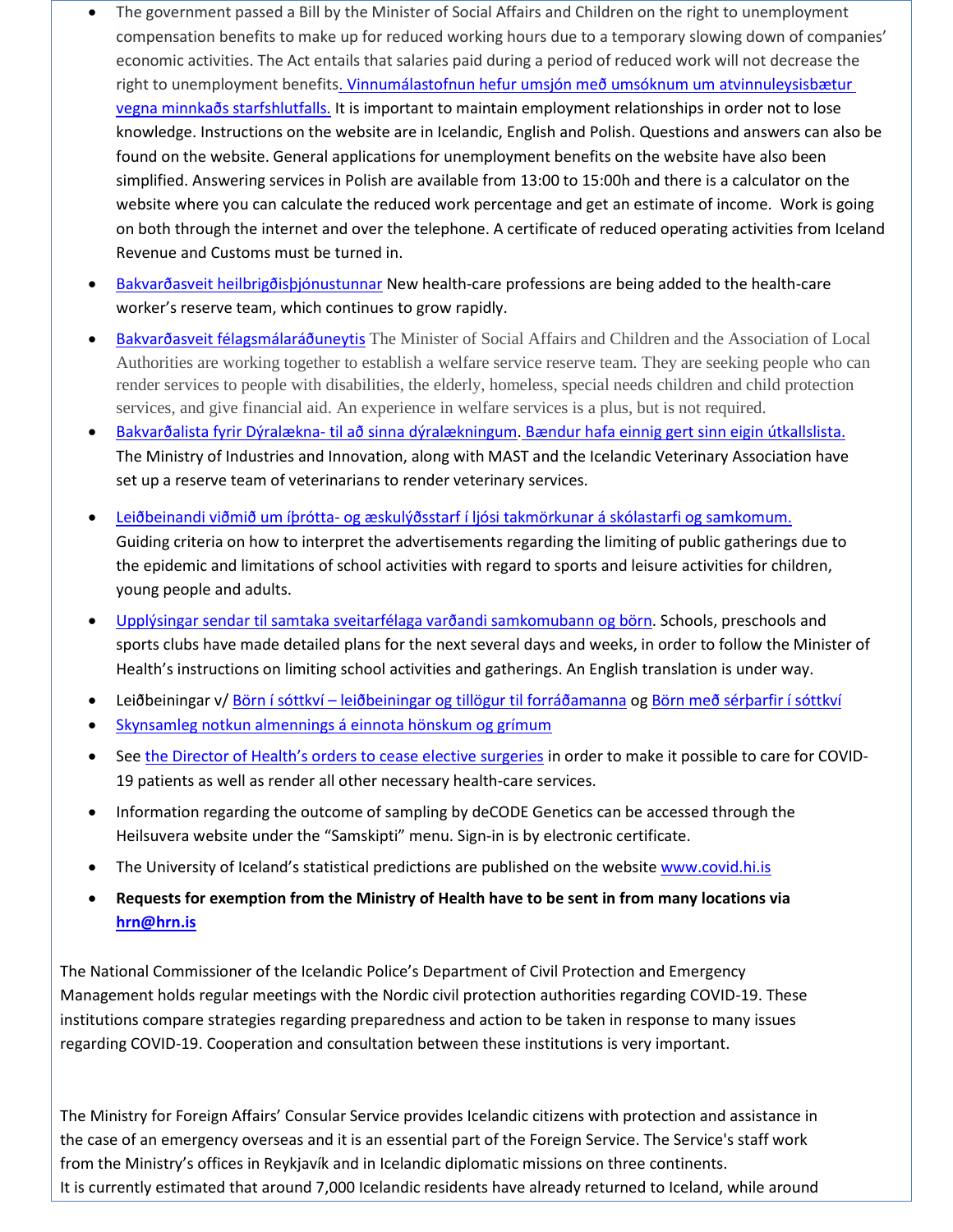- The government passed a Bill by the Minister of Social Affairs and Children on the right to unemployment compensation benefits to make up for reduced working hours due to a temporary slowing down of companies' economic activities. The Act entails that salaries paid during a period of reduced work will not decrease the right to unemployment benefit[s.](https://vinnumalastofnun.is/upplysingar-vegna-covid-19/minnkad-starfshlutfall) Vinnumálastofnun hefur umsjón með umsóknum um atvinnuleysisbætur [vegna minnkaðs starfshlutfalls.](https://vinnumalastofnun.is/upplysingar-vegna-covid-19/minnkad-starfshlutfall) It is important to maintain employment relationships in order not to lose knowledge. Instructions on the website are in Icelandic, English and Polish. Questions and answers can also be found on the website. General applications for unemployment benefits on the website have also been simplified. Answering services in Polish are available from 13:00 to 15:00h and there is a calculator on the website where you can calculate the reduced work percentage and get an estimate of income. Work is going on both through the internet and over the telephone. A certificate of reduced operating activities from Iceland Revenue and Customs must be turned in.
- [Bakvarðasveit heilbrigðisþjónustunnar](https://www.stjornarradid.is/efst-a-baugi/frettir/stok-frett/2020/03/24/Bakvardasveit-heilbrigdisthjonustunnar-staekkar-ort/) New health-care professions are being added to the health-care worker's reserve team, which continues to grow rapidly.
- [Bakvarðasveit félagsmálaráðuneytis](https://www.stjornarradid.is/efst-a-baugi/frettir/stok-frett/2020/03/17/Bakvardasveit-velferdarthjonustu-oskad-eftir-starfsfolki-a-utkallslista/) The Minister of Social Affairs and Children and the Association of Local Authorities are working together to establish a welfare service reserve team. They are seeking people who can render services to people with disabilities, the elderly, homeless, special needs children and child protection services, and give financial aid. An experience in welfare services is a plus, but is not required.
- [Bakvarðalista fyrir Dýralækna-](https://www.stjornarradid.is/efst-a-baugi/frettir/stok-frett/2020/03/23/Oskad-eftir-dyralaeknum-a-utkallslista/) til að sinna dýralækningum. [Bændur hafa einnig gert sinn eigin útkallslista.](http://www.bondi.is/frettir-og-tilkynningar/afleysingathjonusta-fyrir-baendur-vegna-covid-19/2778) The Ministry of Industries and Innovation, along with MAST and the Icelandic Veterinary Association have set up a reserve team of veterinarians to render veterinary services.
- Leiðbeinandi viðmið um íþrótta- [og æskulýðsstarf í ljósi takmörkunar á skólastarfi og samkomum.](https://www.stjornarradid.is/efst-a-baugi/frettir/stok-frett/2020/03/20/Leidbeinandi-vidmid-um-ithrotta-og-aeskulydsstarf-i-ljosi-takmorkunar-a-skolastarfi-og-samkomum/) Guiding criteria on how to interpret the advertisements regarding the limiting of public gatherings due to the epidemic and limitations of school activities with regard to sports and leisure activities for children, young people and adults.
- [Upplýsingar sendar til samtaka sveitarfélaga varðandi samkomubann og börn.](https://www.landlaeknir.is/servlet/file/store93/item39959/Samkomubann%20og%20börn%20-%2020.03.2020.pdf) Schools, preschools and sports clubs have made detailed plans for the next several days and weeks, in order to follow the Minister of Health's instructions on limiting school activities and gatherings. An English translation is under way.
- Leiðbeiningar v/ Börn í sóttkví [leiðbeiningar og tillögur til forráðamanna](https://www.landlaeknir.is/servlet/file/store93/item39957/Börn%20í%20sóttkví.pdf) o[g Börn með sérþarfir í sóttkví](https://www.landlaeknir.is/servlet/file/store93/item39958/Börn%20með%20sértækar%20umönnunarþarfir%20í%20sóttkví.pdf)
- [Skynsamleg notkun almennings á einnota hönskum og grímum](https://www.landlaeknir.is/servlet/file/store93/item40393/Notkun%20einnota%20hanska%20og%20gríma_Covid.pdf)
- See [the Director of Health's orders to cease elective surgeries](https://www.landlaeknir.is/um-embaettid/frettir/frett/item40390/Frestun-valkvaedra-skurdadgerda-vegna-Covid-19) in order to make it possible to care for COVID-19 patients as well as render all other necessary health-care services.
- Information regarding the outcome of sampling by deCODE Genetics can be accessed through the Heilsuvera website under the "Samskipti" menu. Sign-in is by electronic certificate.
- The University of Iceland's statistical predictions are published on the website [www.covid.hi.is](http://www.covid.hi.is/)
- **Requests for exemption from the Ministry of Health have to be sent in from many locations via [hrn@hrn.is](mailto:hrn@hrn.is)**

The National Commissioner of the Icelandic Police's Department of Civil Protection and Emergency Management holds regular meetings with the Nordic civil protection authorities regarding COVID-19. These institutions compare strategies regarding preparedness and action to be taken in response to many issues regarding COVID-19. Cooperation and consultation between these institutions is very important.

The Ministry for Foreign Affairs' Consular Service provides Icelandic citizens with protection and assistance in the case of an emergency overseas and it is an essential part of the Foreign Service. The Service's staff work from the Ministry's offices in Reykjavík and in Icelandic diplomatic missions on three continents. It is currently estimated that around 7,000 Icelandic residents have already returned to Iceland, while around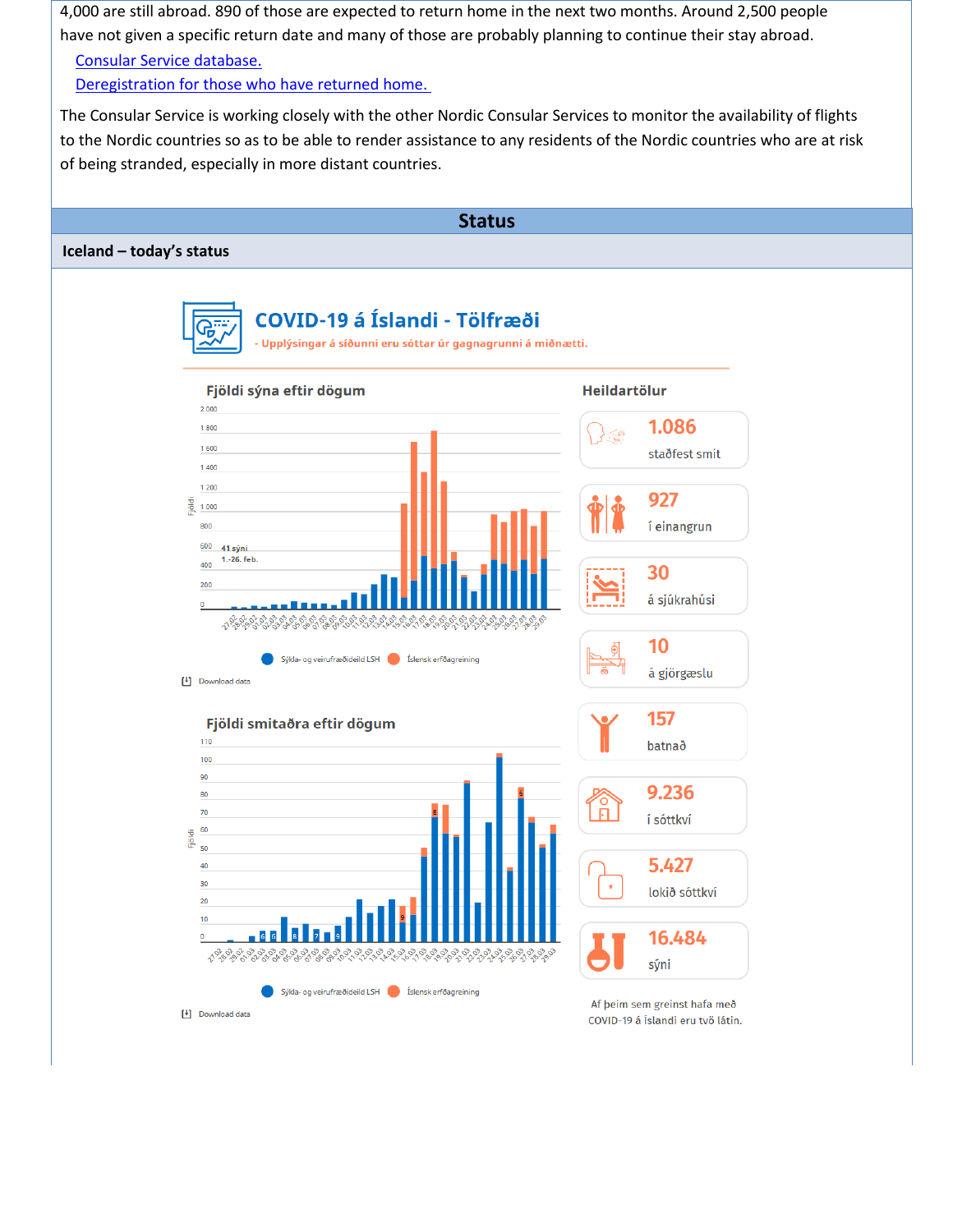4,000 are still abroad. 890 of those are expected to return home in the next two months. Around 2,500 people have not given a specific return date and many of those are probably planning to continue their stay abroad.

#### [Consular Service database.](http://www.utn.is/covid19)

[Deregistration for those who have returned home.](https://www.stjornarradid.is/default.aspx?PageID=0966e750-6b73-11ea-9462-005056bc4d74)

 The Consular Service is working closely with the other Nordic Consular Services to monitor the availability of flights to the Nordic countries so as to be able to render assistance to any residents of the Nordic countries who are at risk of being stranded, especially in more distant countries.